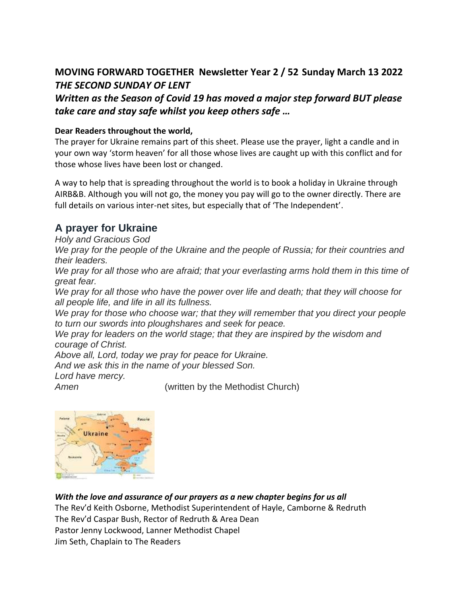## **MOVING FORWARD TOGETHER Newsletter Year 2 / 52 Sunday March 13 2022** *THE SECOND SUNDAY OF LENT*

*Written as the Season of Covid 19 has moved a major step forward BUT please take care and stay safe whilst you keep others safe …*

#### **Dear Readers throughout the world,**

The prayer for Ukraine remains part of this sheet. Please use the prayer, light a candle and in your own way 'storm heaven' for all those whose lives are caught up with this conflict and for those whose lives have been lost or changed.

A way to help that is spreading throughout the world is to book a holiday in Ukraine through AIRB&B. Although you will not go, the money you pay will go to the owner directly. There are full details on various inter-net sites, but especially that of 'The Independent'.

### **A prayer for Ukraine**

*Holy and Gracious God* 

*We pray for the people of the Ukraine and the people of Russia; for their countries and their leaders.* 

*We pray for all those who are afraid; that your everlasting arms hold them in this time of great fear.* 

*We pray for all those who have the power over life and death; that they will choose for all people life, and life in all its fullness.* 

*We pray for those who choose war; that they will remember that you direct your people to turn our swords into ploughshares and seek for peace.* 

*We pray for leaders on the world stage; that they are inspired by the wisdom and courage of Christ.* 

*Above all, Lord, today we pray for peace for Ukraine.* 

*And we ask this in the name of your blessed Son.* 

*Lord have mercy.* 

*Amen* (written by the Methodist Church)



*With the love and assurance of our prayers as a new chapter begins for us all*  The Rev'd Keith Osborne, Methodist Superintendent of Hayle, Camborne & Redruth The Rev'd Caspar Bush, Rector of Redruth & Area Dean Pastor Jenny Lockwood, Lanner Methodist Chapel Jim Seth, Chaplain to The Readers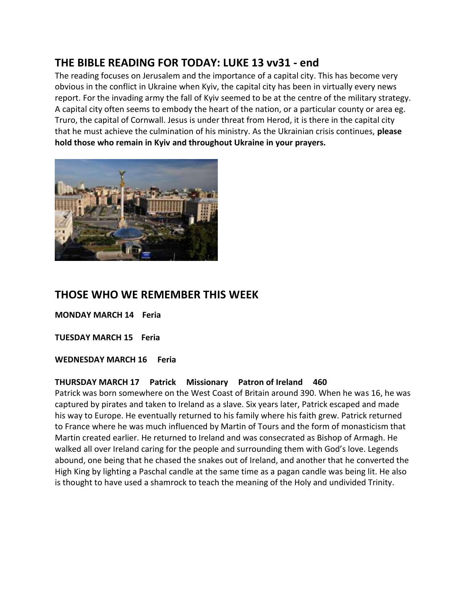## **THE BIBLE READING FOR TODAY: LUKE 13 vv31 - end**

The reading focuses on Jerusalem and the importance of a capital city. This has become very obvious in the conflict in Ukraine when Kyiv, the capital city has been in virtually every news report. For the invading army the fall of Kyiv seemed to be at the centre of the military strategy. A capital city often seems to embody the heart of the nation, or a particular county or area eg. Truro, the capital of Cornwall. Jesus is under threat from Herod, it is there in the capital city that he must achieve the culmination of his ministry. As the Ukrainian crisis continues, **please hold those who remain in Kyiv and throughout Ukraine in your prayers.** 



## **THOSE WHO WE REMEMBER THIS WEEK**

**MONDAY MARCH 14 Feria**

**TUESDAY MARCH 15 Feria**

**WEDNESDAY MARCH 16 Feria**

#### **THURSDAY MARCH 17 Patrick Missionary Patron of Ireland 460**

Patrick was born somewhere on the West Coast of Britain around 390. When he was 16, he was captured by pirates and taken to Ireland as a slave. Six years later, Patrick escaped and made his way to Europe. He eventually returned to his family where his faith grew. Patrick returned to France where he was much influenced by Martin of Tours and the form of monasticism that Martin created earlier. He returned to Ireland and was consecrated as Bishop of Armagh. He walked all over Ireland caring for the people and surrounding them with God's love. Legends abound, one being that he chased the snakes out of Ireland, and another that he converted the High King by lighting a Paschal candle at the same time as a pagan candle was being lit. He also is thought to have used a shamrock to teach the meaning of the Holy and undivided Trinity.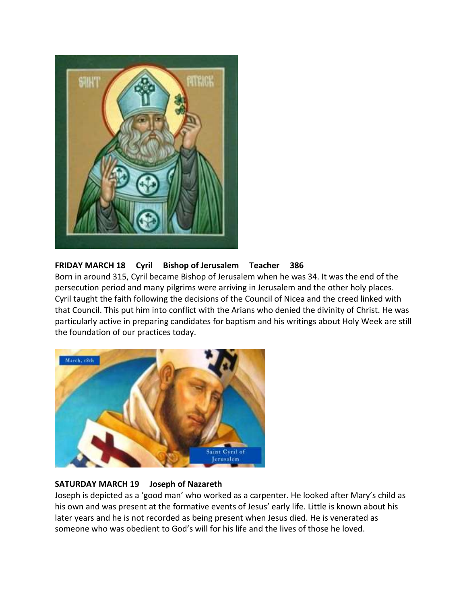

#### **FRIDAY MARCH 18 Cyril Bishop of Jerusalem Teacher 386**

Born in around 315, Cyril became Bishop of Jerusalem when he was 34. It was the end of the persecution period and many pilgrims were arriving in Jerusalem and the other holy places. Cyril taught the faith following the decisions of the Council of Nicea and the creed linked with that Council. This put him into conflict with the Arians who denied the divinity of Christ. He was particularly active in preparing candidates for baptism and his writings about Holy Week are still the foundation of our practices today.



#### **SATURDAY MARCH 19 Joseph of Nazareth**

Joseph is depicted as a 'good man' who worked as a carpenter. He looked after Mary's child as his own and was present at the formative events of Jesus' early life. Little is known about his later years and he is not recorded as being present when Jesus died. He is venerated as someone who was obedient to God's will for his life and the lives of those he loved.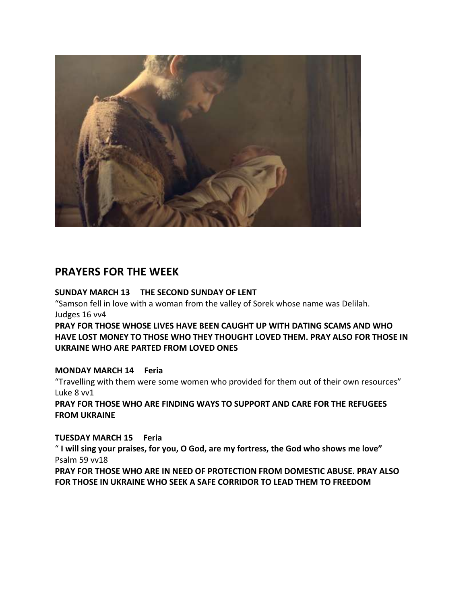

### **PRAYERS FOR THE WEEK**

#### **SUNDAY MARCH 13 THE SECOND SUNDAY OF LENT**

"Samson fell in love with a woman from the valley of Sorek whose name was Delilah. Judges 16 vv4

**PRAY FOR THOSE WHOSE LIVES HAVE BEEN CAUGHT UP WITH DATING SCAMS AND WHO HAVE LOST MONEY TO THOSE WHO THEY THOUGHT LOVED THEM. PRAY ALSO FOR THOSE IN UKRAINE WHO ARE PARTED FROM LOVED ONES** 

#### **MONDAY MARCH 14 Feria**

"Travelling with them were some women who provided for them out of their own resources" Luke 8 vv1

**PRAY FOR THOSE WHO ARE FINDING WAYS TO SUPPORT AND CARE FOR THE REFUGEES FROM UKRAINE**

#### **TUESDAY MARCH 15 Feria**

" **I will sing your praises, for you, O God, are my fortress, the God who shows me love"**  Psalm 59 vv18

**PRAY FOR THOSE WHO ARE IN NEED OF PROTECTION FROM DOMESTIC ABUSE. PRAY ALSO FOR THOSE IN UKRAINE WHO SEEK A SAFE CORRIDOR TO LEAD THEM TO FREEDOM**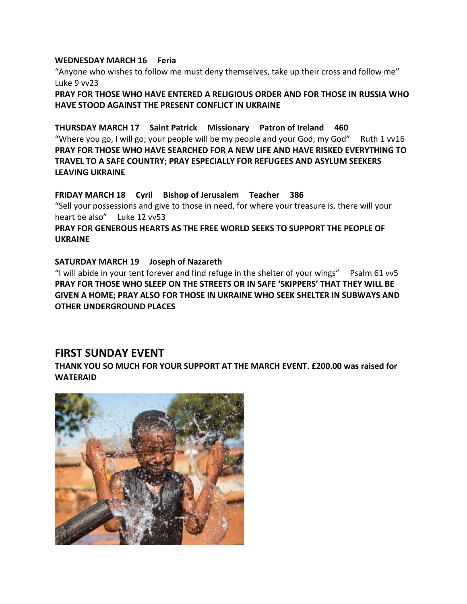#### **WEDNESDAY MARCH 16 Feria**

"Anyone who wishes to follow me must deny themselves, take up their cross and follow me" Luke 9 vv23

**PRAY FOR THOSE WHO HAVE ENTERED A RELIGIOUS ORDER AND FOR THOSE IN RUSSIA WHO HAVE STOOD AGAINST THE PRESENT CONFLICT IN UKRAINE**

#### **THURSDAY MARCH 17 Saint Patrick Missionary Patron of Ireland 460**

"Where you go, I will go; your people will be my people and your God, my God" Ruth 1  $v16$ **PRAY FOR THOSE WHO HAVE SEARCHED FOR A NEW LIFE AND HAVE RISKED EVERYTHING TO TRAVEL TO A SAFE COUNTRY; PRAY ESPECIALLY FOR REFUGEES AND ASYLUM SEEKERS LEAVING UKRAINE**

#### **FRIDAY MARCH 18 Cyril Bishop of Jerusalem Teacher 386**

"Sell your possessions and give to those in need, for where your treasure is, there will your heart be also" Luke 12 vv53

#### **PRAY FOR GENEROUS HEARTS AS THE FREE WORLD SEEKS TO SUPPORT THE PEOPLE OF UKRAINE**

#### **SATURDAY MARCH 19 Joseph of Nazareth**

"I will abide in your tent forever and find refuge in the shelter of your wings" Psalm 61 vv5 **PRAY FOR THOSE WHO SLEEP ON THE STREETS OR IN SAFE 'SKIPPERS' THAT THEY WILL BE GIVEN A HOME; PRAY ALSO FOR THOSE IN UKRAINE WHO SEEK SHELTER IN SUBWAYS AND OTHER UNDERGROUND PLACES**

#### **FIRST SUNDAY EVENT**

**THANK YOU SO MUCH FOR YOUR SUPPORT AT THE MARCH EVENT. £200.00 was raised for WATERAID**

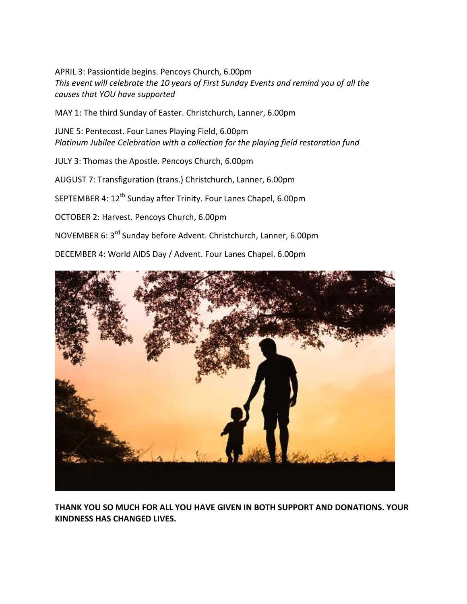APRIL 3: Passiontide begins. Pencoys Church, 6.00pm *This event will celebrate the 10 years of First Sunday Events and remind you of all the causes that YOU have supported*

MAY 1: The third Sunday of Easter. Christchurch, Lanner, 6.00pm

JUNE 5: Pentecost. Four Lanes Playing Field, 6.00pm *Platinum Jubilee Celebration with a collection for the playing field restoration fund*

JULY 3: Thomas the Apostle. Pencoys Church, 6.00pm

AUGUST 7: Transfiguration (trans.) Christchurch, Lanner, 6.00pm

SEPTEMBER 4: 12<sup>th</sup> Sunday after Trinity. Four Lanes Chapel, 6.00pm

OCTOBER 2: Harvest. Pencoys Church, 6.00pm

NOVEMBER 6: 3rd Sunday before Advent. Christchurch, Lanner, 6.00pm

DECEMBER 4: World AIDS Day / Advent. Four Lanes Chapel. 6.00pm



**THANK YOU SO MUCH FOR ALL YOU HAVE GIVEN IN BOTH SUPPORT AND DONATIONS. YOUR KINDNESS HAS CHANGED LIVES.**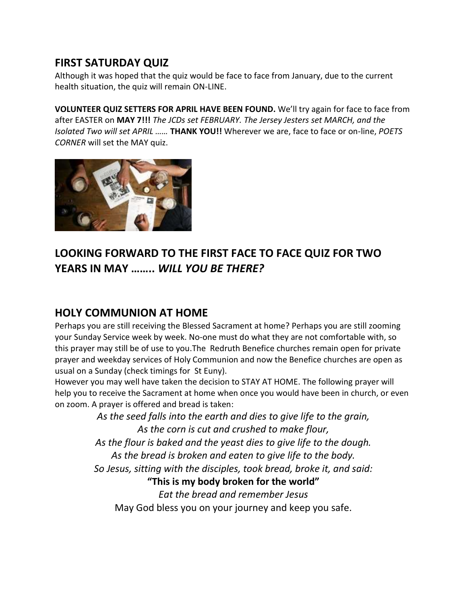## **FIRST SATURDAY QUIZ**

Although it was hoped that the quiz would be face to face from January, due to the current health situation, the quiz will remain ON-LINE.

**VOLUNTEER QUIZ SETTERS FOR APRIL HAVE BEEN FOUND.** We'll try again for face to face from after EASTER on **MAY 7!!!** *The JCDs set FEBRUARY. The Jersey Jesters set MARCH, and the Isolated Two will set APRIL ……* **THANK YOU!!** Wherever we are, face to face or on-line, *POETS CORNER* will set the MAY quiz.



## **LOOKING FORWARD TO THE FIRST FACE TO FACE QUIZ FOR TWO YEARS IN MAY ……..** *WILL YOU BE THERE?*

## **HOLY COMMUNION AT HOME**

Perhaps you are still receiving the Blessed Sacrament at home? Perhaps you are still zooming your Sunday Service week by week. No-one must do what they are not comfortable with, so this prayer may still be of use to you.The Redruth Benefice churches remain open for private prayer and weekday services of Holy Communion and now the Benefice churches are open as usual on a Sunday (check timings for St Euny).

However you may well have taken the decision to STAY AT HOME. The following prayer will help you to receive the Sacrament at home when once you would have been in church, or even on zoom. A prayer is offered and bread is taken:

> *As the seed falls into the earth and dies to give life to the grain, As the corn is cut and crushed to make flour, As the flour is baked and the yeast dies to give life to the dough. As the bread is broken and eaten to give life to the body. So Jesus, sitting with the disciples, took bread, broke it, and said:* **"This is my body broken for the world"** *Eat the bread and remember Jesus*

May God bless you on your journey and keep you safe.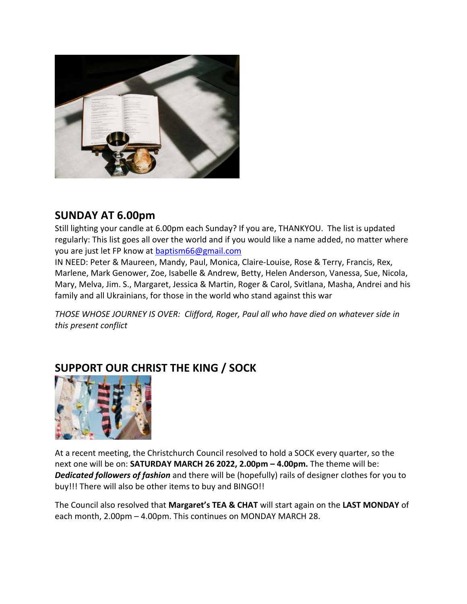

### **SUNDAY AT 6.00pm**

Still lighting your candle at 6.00pm each Sunday? If you are, THANKYOU. The list is updated regularly: This list goes all over the world and if you would like a name added, no matter where you are just let FP know at [baptism66@gmail.com](mailto:baptism66@gmail.com)

IN NEED: Peter & Maureen, Mandy, Paul, Monica, Claire-Louise, Rose & Terry, Francis, Rex, Marlene, Mark Genower, Zoe, Isabelle & Andrew, Betty, Helen Anderson, Vanessa, Sue, Nicola, Mary, Melva, Jim. S., Margaret, Jessica & Martin, Roger & Carol, Svitlana, Masha, Andrei and his family and all Ukrainians, for those in the world who stand against this war

*THOSE WHOSE JOURNEY IS OVER: Clifford, Roger, Paul all who have died on whatever side in this present conflict*



## **SUPPORT OUR CHRIST THE KING / SOCK**

At a recent meeting, the Christchurch Council resolved to hold a SOCK every quarter, so the next one will be on: **SATURDAY MARCH 26 2022, 2.00pm – 4.00pm.** The theme will be: *Dedicated followers of fashion* and there will be (hopefully) rails of designer clothes for you to buy!!! There will also be other items to buy and BINGO!!

The Council also resolved that **Margaret's TEA & CHAT** will start again on the **LAST MONDAY** of each month, 2.00pm – 4.00pm. This continues on MONDAY MARCH 28.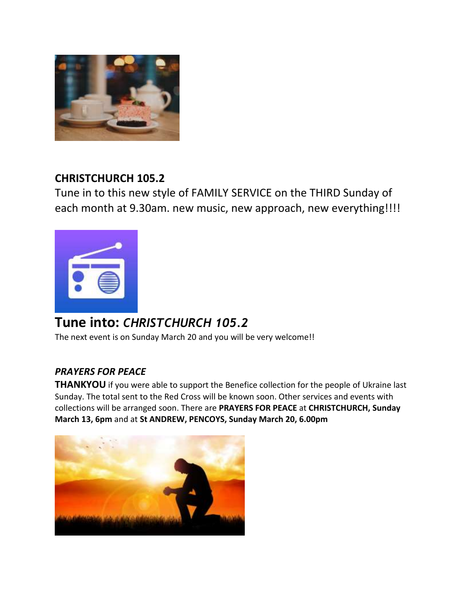

## **CHRISTCHURCH 105.2**

Tune in to this new style of FAMILY SERVICE on the THIRD Sunday of each month at 9.30am. new music, new approach, new everything!!!!



# **Tune into:** *CHRISTCHURCH 105.2*

The next event is on Sunday March 20 and you will be very welcome!!

### *PRAYERS FOR PEACE*

**THANKYOU** if you were able to support the Benefice collection for the people of Ukraine last Sunday. The total sent to the Red Cross will be known soon. Other services and events with collections will be arranged soon. There are **PRAYERS FOR PEACE** at **CHRISTCHURCH, Sunday March 13, 6pm** and at **St ANDREW, PENCOYS, Sunday March 20, 6.00pm**